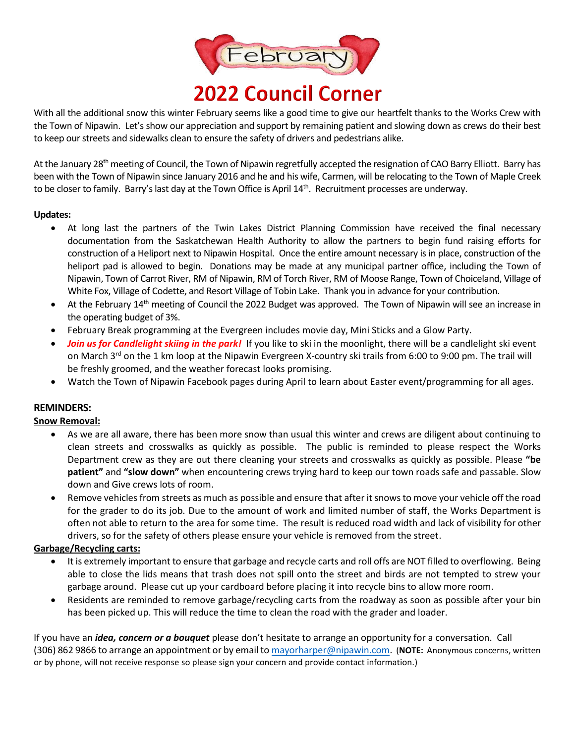

With all the additional snow this winter February seems like a good time to give our heartfelt thanks to the Works Crew with the Town of Nipawin. Let's show our appreciation and support by remaining patient and slowing down as crews do their best to keep our streets and sidewalks clean to ensure the safety of drivers and pedestrians alike.

At the January 28<sup>th</sup> meeting of Council, the Town of Nipawin regretfully accepted the resignation of CAO Barry Elliott. Barry has been with the Town of Nipawin since January 2016 and he and his wife, Carmen, will be relocating to the Town of Maple Creek to be closer to family. Barry's last day at the Town Office is April 14th. Recruitment processes are underway.

## **Updates:**

- At long last the partners of the Twin Lakes District Planning Commission have received the final necessary documentation from the Saskatchewan Health Authority to allow the partners to begin fund raising efforts for construction of a Heliport next to Nipawin Hospital. Once the entire amount necessary is in place, construction of the heliport pad is allowed to begin. Donations may be made at any municipal partner office, including the Town of Nipawin, Town of Carrot River, RM of Nipawin, RM of Torch River, RM of Moose Range, Town of Choiceland, Village of White Fox, Village of Codette, and Resort Village of Tobin Lake. Thank you in advance for your contribution.
- At the February  $14<sup>th</sup>$  meeting of Council the 2022 Budget was approved. The Town of Nipawin will see an increase in the operating budget of 3%.
- February Break programming at the Evergreen includes movie day, Mini Sticks and a Glow Party.
- *Join us for Candlelight skiing in the park!* If you like to ski in the moonlight, there will be a candlelight ski event on March 3<sup>rd</sup> on the 1 km loop at the Nipawin Evergreen X-country ski trails from 6:00 to 9:00 pm. The trail will be freshly groomed, and the weather forecast looks promising.
- Watch the Town of Nipawin Facebook pages during April to learn about Easter event/programming for all ages.

## **REMINDERS:**

## **Snow Removal:**

- As we are all aware, there has been more snow than usual this winter and crews are diligent about continuing to clean streets and crosswalks as quickly as possible. The public is reminded to please respect the Works Department crew as they are out there cleaning your streets and crosswalks as quickly as possible. Please **"be patient"** and **"slow down"** when encountering crews trying hard to keep our town roads safe and passable. Slow down and Give crews lots of room.
- Remove vehicles from streets as much as possible and ensure that after it snowsto move your vehicle off the road for the grader to do its job. Due to the amount of work and limited number of staff, the Works Department is often not able to return to the area for some time. The result is reduced road width and lack of visibility for other drivers, so for the safety of others please ensure your vehicle is removed from the street.

## **Garbage/Recycling carts:**

- It is extremely important to ensure that garbage and recycle carts and roll offs are NOT filled to overflowing. Being able to close the lids means that trash does not spill onto the street and birds are not tempted to strew your garbage around. Please cut up your cardboard before placing it into recycle bins to allow more room.
- Residents are reminded to remove garbage/recycling carts from the roadway as soon as possible after your bin has been picked up. This will reduce the time to clean the road with the grader and loader.

If you have an *idea, concern or a bouquet* please don't hesitate to arrange an opportunity for a conversation. Call (306) 862 9866 to arrange an appointment or by email to [mayorharper@nipawin.com.](mailto:mayorharper@nipawin.com) (**NOTE:** Anonymous concerns, written or by phone, will not receive response so please sign your concern and provide contact information.)